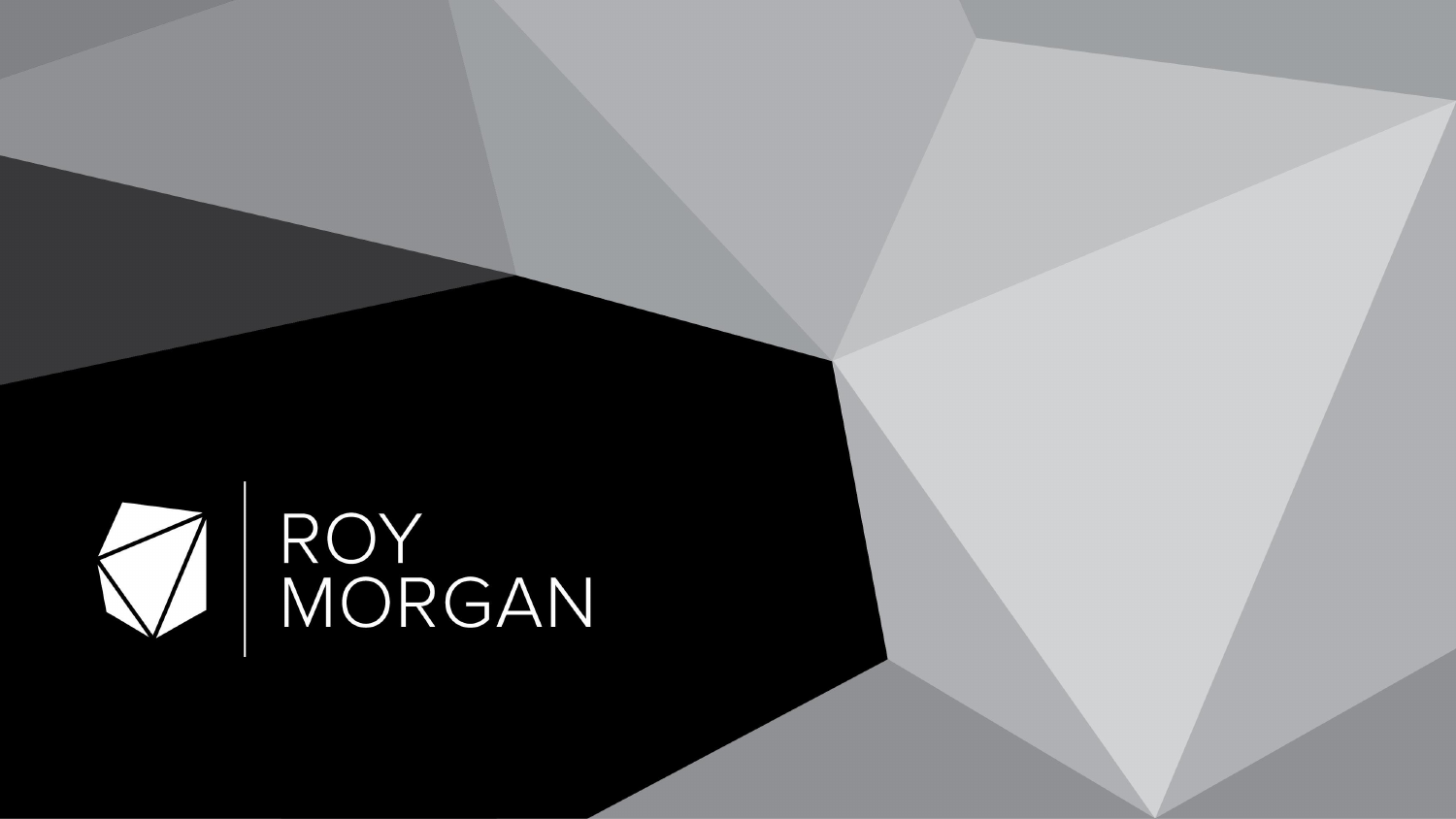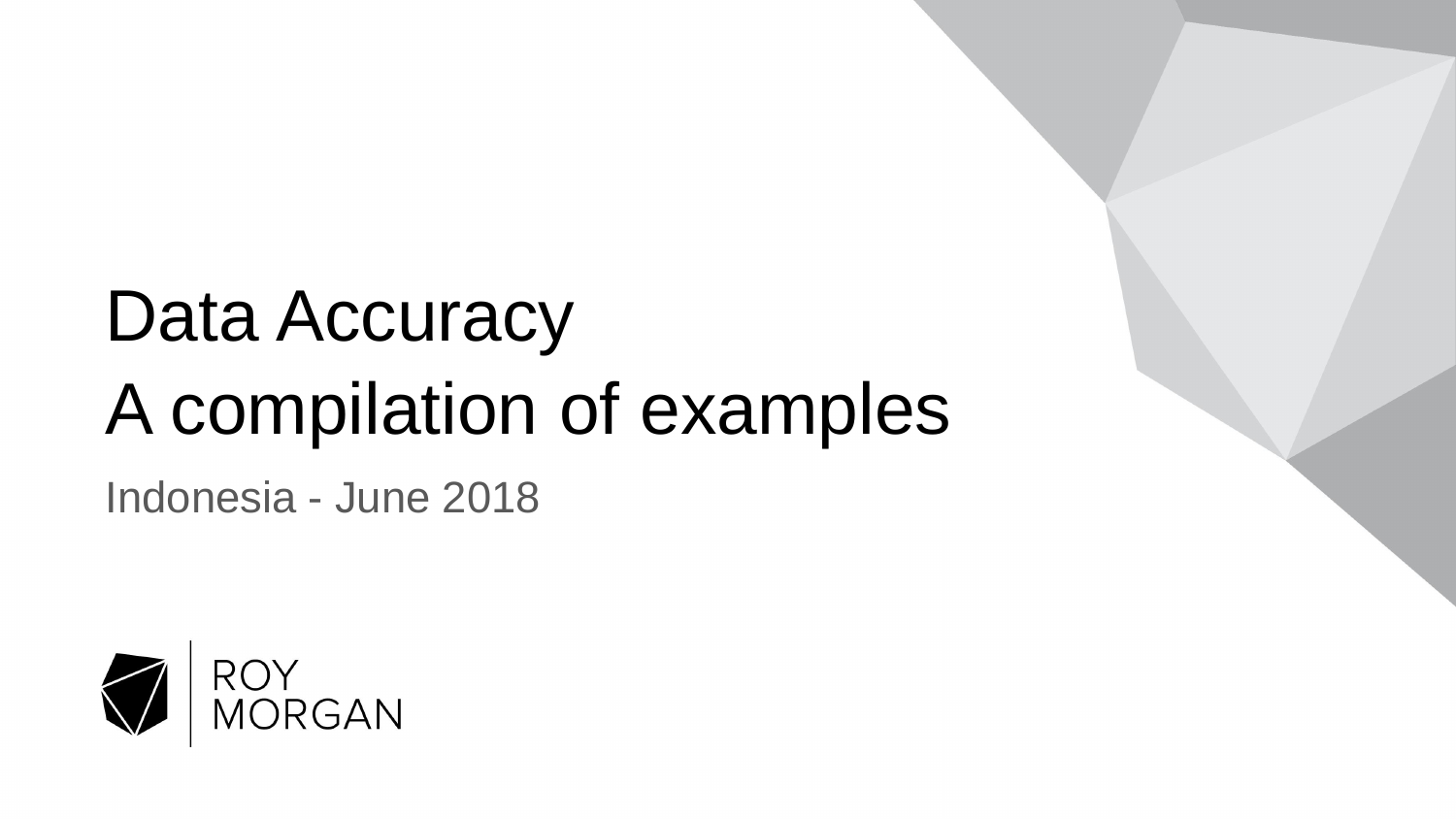## Data Accuracy A compilation of examples

Indonesia - June 2018

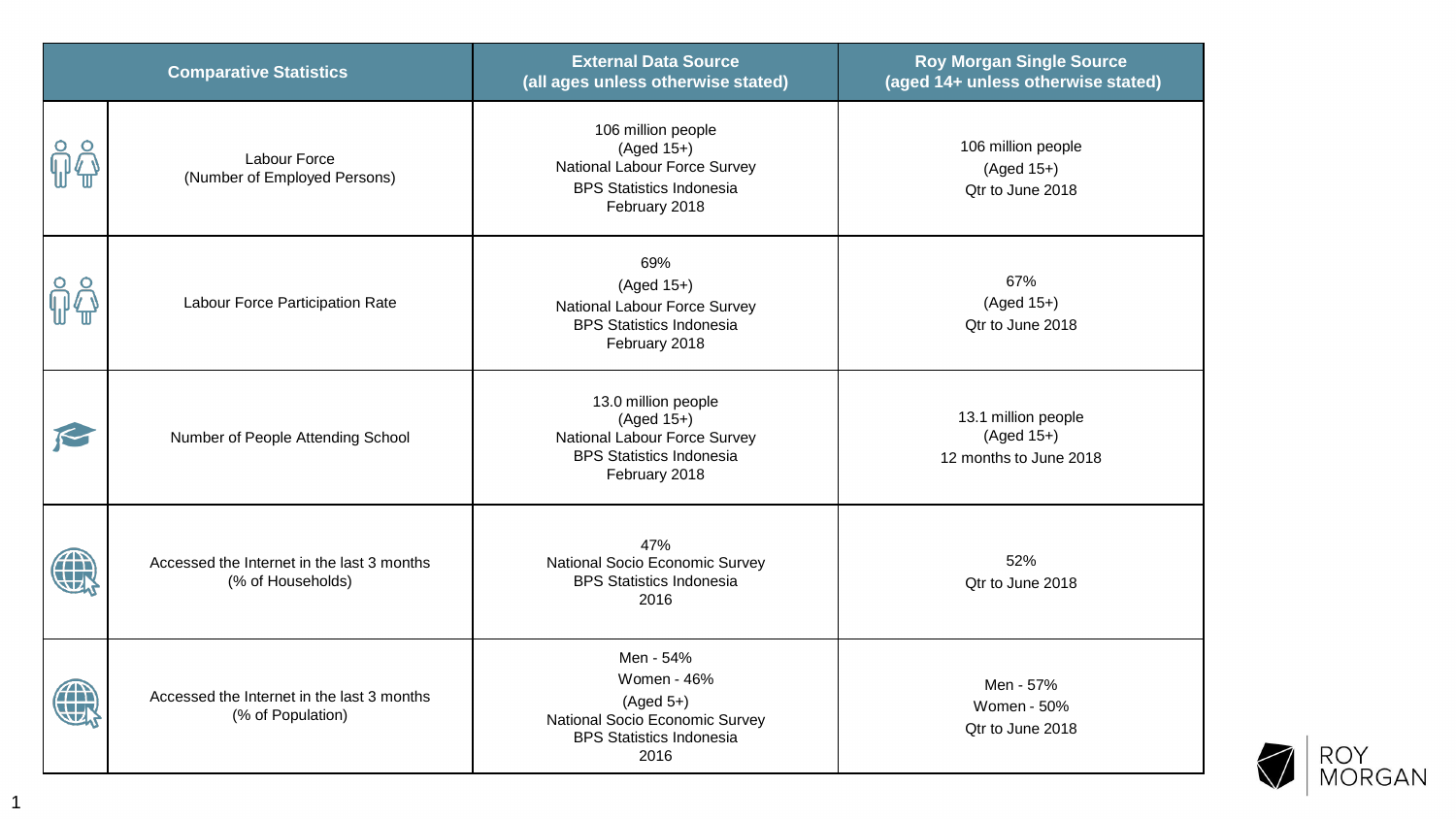| <b>Comparative Statistics</b> |                                                                 | <b>External Data Source</b><br>(all ages unless otherwise stated)                                                       | <b>Roy Morgan Single Source</b><br>(aged 14+ unless otherwise stated) |
|-------------------------------|-----------------------------------------------------------------|-------------------------------------------------------------------------------------------------------------------------|-----------------------------------------------------------------------|
|                               | Labour Force<br>(Number of Employed Persons)                    | 106 million people<br>$(Aged 15+)$<br>National Labour Force Survey<br><b>BPS Statistics Indonesia</b><br>February 2018  | 106 million people<br>$(Aged 15+)$<br>Qtr to June 2018                |
|                               | Labour Force Participation Rate                                 | 69%<br>$(Aged 15+)$<br>National Labour Force Survey<br><b>BPS Statistics Indonesia</b><br>February 2018                 | 67%<br>$(Aged 15+)$<br>Qtr to June 2018                               |
|                               | Number of People Attending School                               | 13.0 million people<br>$(Aged 15+)$<br>National Labour Force Survey<br><b>BPS Statistics Indonesia</b><br>February 2018 | 13.1 million people<br>$(Aged 15+)$<br>12 months to June 2018         |
|                               | Accessed the Internet in the last 3 months<br>(% of Households) | 47%<br>National Socio Economic Survey<br><b>BPS Statistics Indonesia</b><br>2016                                        | 52%<br>Qtr to June 2018                                               |
|                               | Accessed the Internet in the last 3 months<br>(% of Population) | Men - 54%<br>Women - 46%<br>$(Aged 5+)$<br>National Socio Economic Survey<br><b>BPS Statistics Indonesia</b><br>2016    | Men - 57%<br>Women - 50%<br>Qtr to June 2018                          |

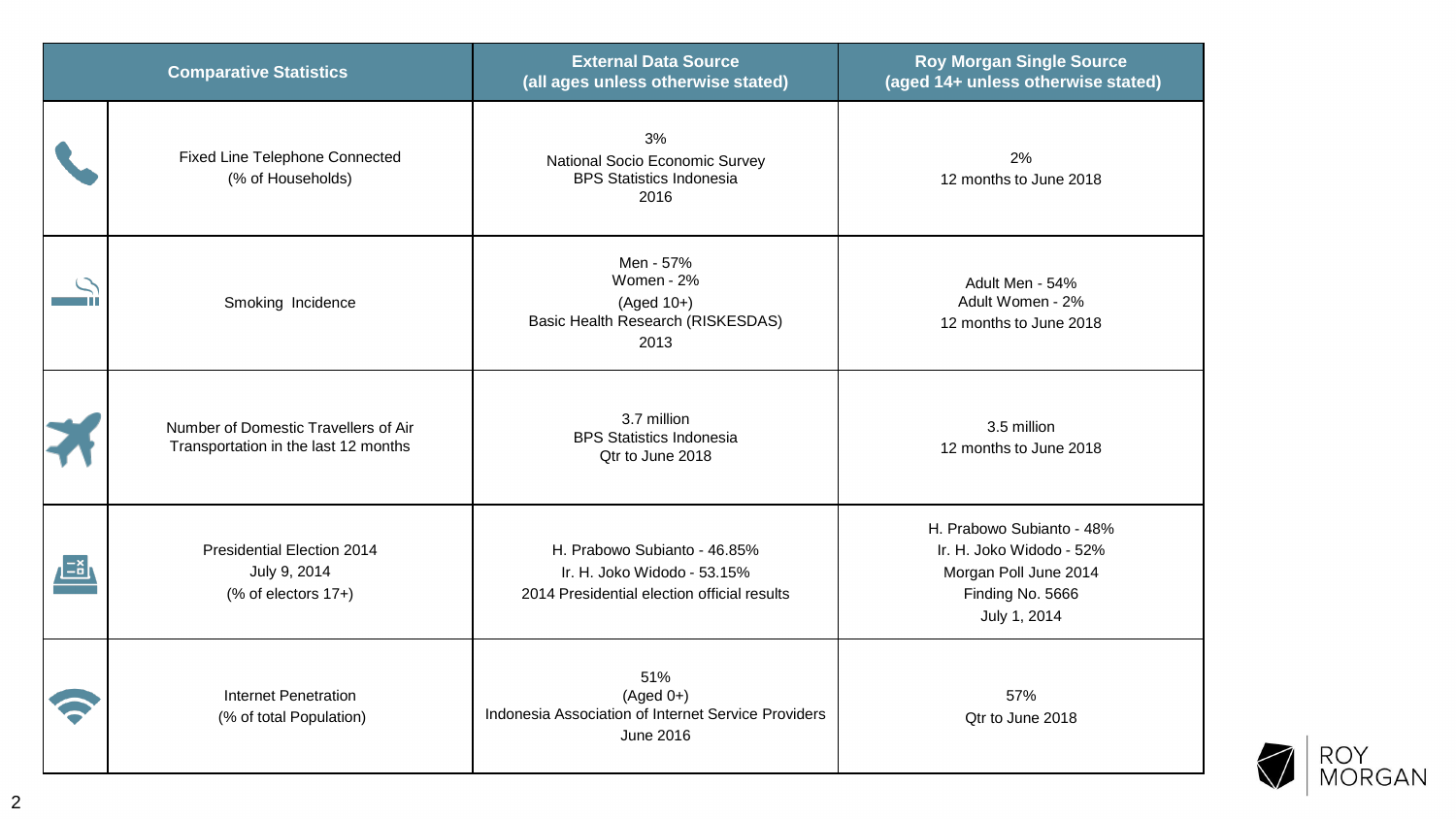| <b>Comparative Statistics</b> |                                                                              | <b>External Data Source</b><br>(all ages unless otherwise stated)                                          | <b>Roy Morgan Single Source</b><br>(aged 14+ unless otherwise stated)                                              |
|-------------------------------|------------------------------------------------------------------------------|------------------------------------------------------------------------------------------------------------|--------------------------------------------------------------------------------------------------------------------|
|                               | <b>Fixed Line Telephone Connected</b><br>(% of Households)                   | 3%<br>National Socio Economic Survey<br><b>BPS Statistics Indonesia</b><br>2016                            | 2%<br>12 months to June 2018                                                                                       |
|                               | Smoking Incidence                                                            | Men - 57%<br>Women - 2%<br>$(Aged 10+)$<br>Basic Health Research (RISKESDAS)<br>2013                       | Adult Men - 54%<br>Adult Women - 2%<br>12 months to June 2018                                                      |
|                               | Number of Domestic Travellers of Air<br>Transportation in the last 12 months | 3.7 million<br><b>BPS Statistics Indonesia</b><br>Qtr to June 2018                                         | 3.5 million<br>12 months to June 2018                                                                              |
|                               | <b>Presidential Election 2014</b><br>July 9, 2014<br>(% of electors 17+)     | H. Prabowo Subianto - 46.85%<br>Ir. H. Joko Widodo - 53.15%<br>2014 Presidential election official results | H. Prabowo Subianto - 48%<br>Ir. H. Joko Widodo - 52%<br>Morgan Poll June 2014<br>Finding No. 5666<br>July 1, 2014 |
|                               | <b>Internet Penetration</b><br>(% of total Population)                       | 51%<br>$(Aged 0+)$<br>Indonesia Association of Internet Service Providers<br>June 2016                     | 57%<br>Qtr to June 2018                                                                                            |

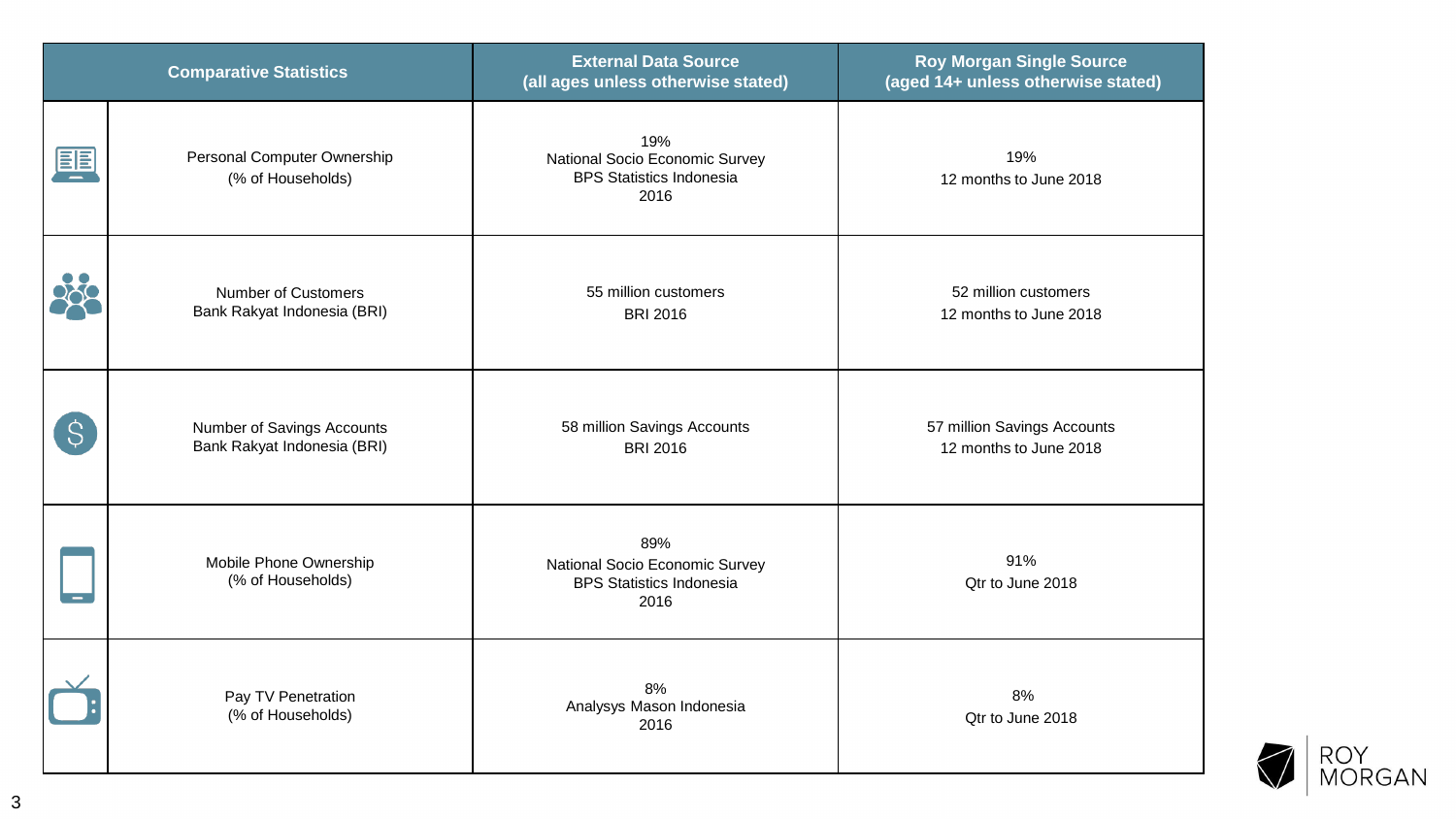| <b>Comparative Statistics</b> |                                                                  | <b>External Data Source</b><br>(all ages unless otherwise stated)                | <b>Roy Morgan Single Source</b><br>(aged 14+ unless otherwise stated) |
|-------------------------------|------------------------------------------------------------------|----------------------------------------------------------------------------------|-----------------------------------------------------------------------|
| 匰                             | Personal Computer Ownership<br>(% of Households)                 | 19%<br>National Socio Economic Survey<br><b>BPS Statistics Indonesia</b><br>2016 | 19%<br>12 months to June 2018                                         |
|                               | <b>Number of Customers</b><br>Bank Rakyat Indonesia (BRI)        | 55 million customers<br><b>BRI 2016</b>                                          | 52 million customers<br>12 months to June 2018                        |
| Ś                             | <b>Number of Savings Accounts</b><br>Bank Rakyat Indonesia (BRI) | 58 million Savings Accounts<br><b>BRI 2016</b>                                   | 57 million Savings Accounts<br>12 months to June 2018                 |
|                               | Mobile Phone Ownership<br>(% of Households)                      | 89%<br>National Socio Economic Survey<br><b>BPS Statistics Indonesia</b><br>2016 | 91%<br>Qtr to June 2018                                               |
|                               | Pay TV Penetration<br>(% of Households)                          | 8%<br>Analysys Mason Indonesia<br>2016                                           | 8%<br>Qtr to June 2018                                                |